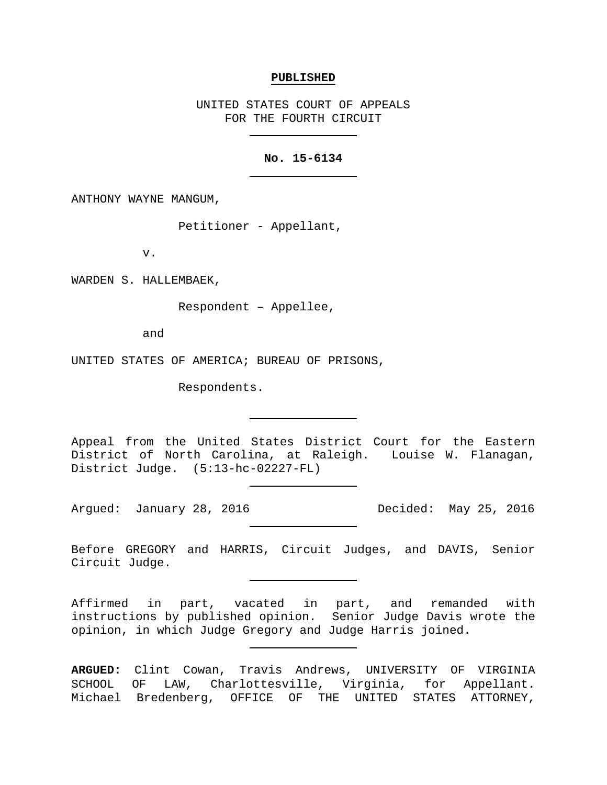### **PUBLISHED**

UNITED STATES COURT OF APPEALS FOR THE FOURTH CIRCUIT

### **No. 15-6134**

ANTHONY WAYNE MANGUM,

Petitioner - Appellant,

v.

WARDEN S. HALLEMBAEK,

Respondent – Appellee,

and

UNITED STATES OF AMERICA; BUREAU OF PRISONS,

Respondents.

Appeal from the United States District Court for the Eastern District of North Carolina, at Raleigh. Louise W. Flanagan, District Judge. (5:13-hc-02227-FL)

Argued: January 28, 2016 Decided: May 25, 2016

Before GREGORY and HARRIS, Circuit Judges, and DAVIS, Senior Circuit Judge.

Affirmed in part, vacated in part, and remanded with instructions by published opinion. Senior Judge Davis wrote the opinion, in which Judge Gregory and Judge Harris joined.

**ARGUED:** Clint Cowan, Travis Andrews, UNIVERSITY OF VIRGINIA SCHOOL OF LAW, Charlottesville, Virginia, for Appellant. Michael Bredenberg, OFFICE OF THE UNITED STATES ATTORNEY,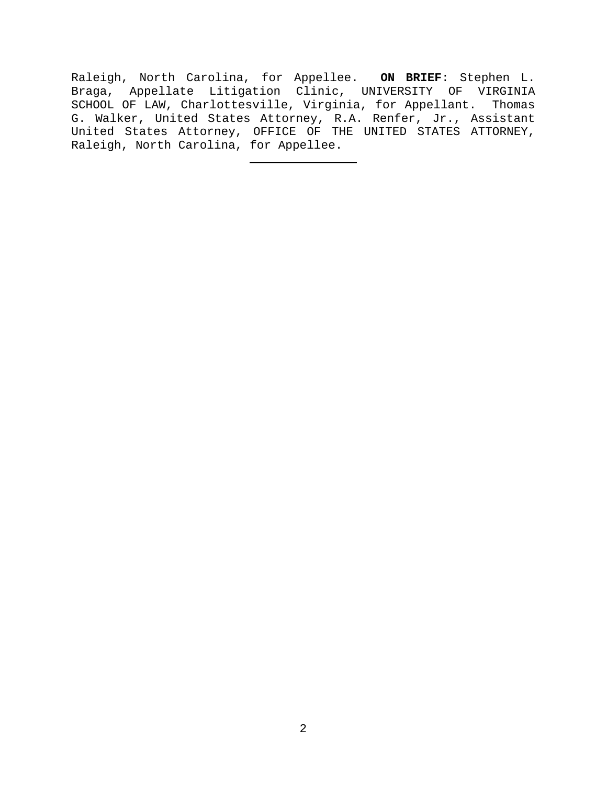Raleigh, North Carolina, for Appellee. **ON BRIEF**: Stephen L. Braga, Appellate Litigation Clinic, UNIVERSITY OF VIRGINIA SCHOOL OF LAW, Charlottesville, Virginia, for Appellant. Thomas G. Walker, United States Attorney, R.A. Renfer, Jr., Assistant United States Attorney, OFFICE OF THE UNITED STATES ATTORNEY, Raleigh, North Carolina, for Appellee.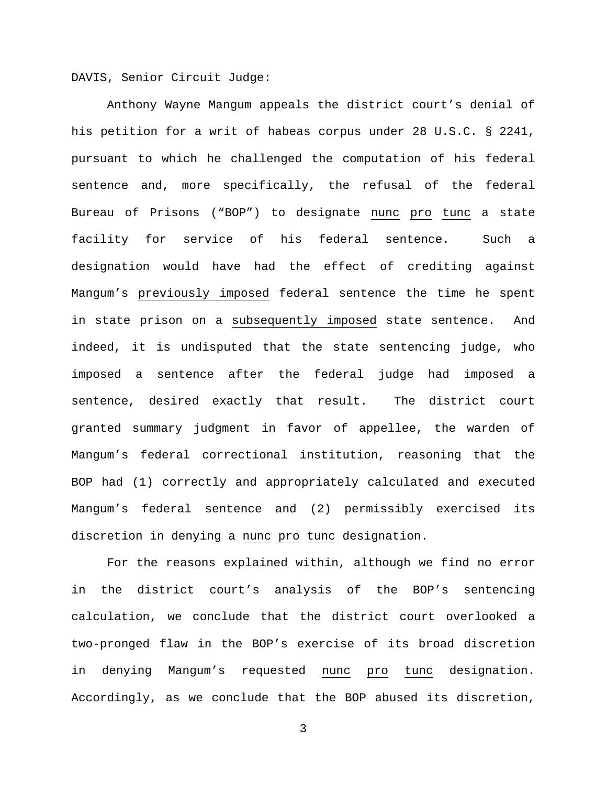DAVIS, Senior Circuit Judge:

Anthony Wayne Mangum appeals the district court's denial of his petition for a writ of habeas corpus under 28 U.S.C. § 2241, pursuant to which he challenged the computation of his federal sentence and, more specifically, the refusal of the federal Bureau of Prisons ("BOP") to designate nunc pro tunc a state facility for service of his federal sentence. Such a designation would have had the effect of crediting against Mangum's previously imposed federal sentence the time he spent in state prison on a subsequently imposed state sentence. And indeed, it is undisputed that the state sentencing judge, who imposed a sentence after the federal judge had imposed a sentence, desired exactly that result. The district court granted summary judgment in favor of appellee, the warden of Mangum's federal correctional institution, reasoning that the BOP had (1) correctly and appropriately calculated and executed Mangum's federal sentence and (2) permissibly exercised its discretion in denying a nunc pro tunc designation.

For the reasons explained within, although we find no error in the district court's analysis of the BOP's sentencing calculation, we conclude that the district court overlooked a two-pronged flaw in the BOP's exercise of its broad discretion in denying Mangum's requested nunc pro tunc designation. Accordingly, as we conclude that the BOP abused its discretion,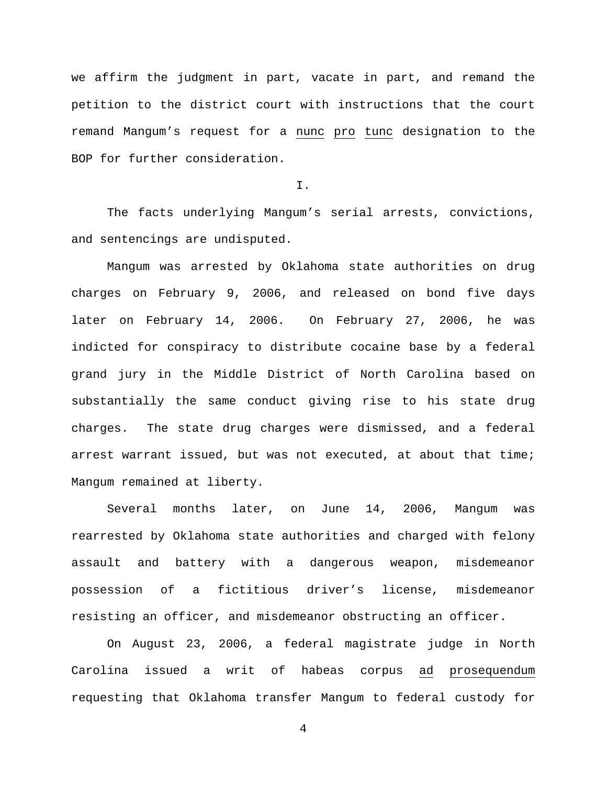we affirm the judgment in part, vacate in part, and remand the petition to the district court with instructions that the court remand Mangum's request for a nunc pro tunc designation to the BOP for further consideration.

I.

The facts underlying Mangum's serial arrests, convictions, and sentencings are undisputed.

Mangum was arrested by Oklahoma state authorities on drug charges on February 9, 2006, and released on bond five days later on February 14, 2006. On February 27, 2006, he was indicted for conspiracy to distribute cocaine base by a federal grand jury in the Middle District of North Carolina based on substantially the same conduct giving rise to his state drug charges. The state drug charges were dismissed, and a federal arrest warrant issued, but was not executed, at about that time; Mangum remained at liberty.

Several months later, on June 14, 2006, Mangum was rearrested by Oklahoma state authorities and charged with felony assault and battery with a dangerous weapon, misdemeanor possession of a fictitious driver's license, misdemeanor resisting an officer, and misdemeanor obstructing an officer.

On August 23, 2006, a federal magistrate judge in North Carolina issued a writ of habeas corpus ad prosequendum requesting that Oklahoma transfer Mangum to federal custody for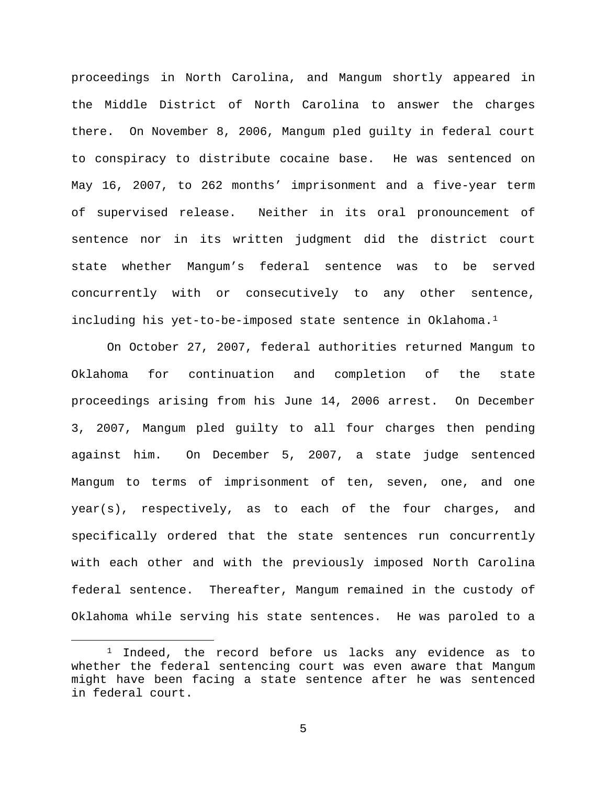proceedings in North Carolina, and Mangum shortly appeared in the Middle District of North Carolina to answer the charges there. On November 8, 2006, Mangum pled guilty in federal court to conspiracy to distribute cocaine base. He was sentenced on May 16, 2007, to 262 months' imprisonment and a five-year term of supervised release. Neither in its oral pronouncement of sentence nor in its written judgment did the district court state whether Mangum's federal sentence was to be served concurrently with or consecutively to any other sentence, including his yet-to-be-imposed state sentence in Oklahoma.<sup>[1](#page-4-0)</sup>

On October 27, 2007, federal authorities returned Mangum to Oklahoma for continuation and completion of the state proceedings arising from his June 14, 2006 arrest. On December 3, 2007, Mangum pled guilty to all four charges then pending against him. On December 5, 2007, a state judge sentenced Mangum to terms of imprisonment of ten, seven, one, and one year(s), respectively, as to each of the four charges, and specifically ordered that the state sentences run concurrently with each other and with the previously imposed North Carolina federal sentence. Thereafter, Mangum remained in the custody of Oklahoma while serving his state sentences. He was paroled to a

<span id="page-4-0"></span><sup>&</sup>lt;sup>1</sup> Indeed, the record before us lacks any evidence as to whether the federal sentencing court was even aware that Mangum might have been facing a state sentence after he was sentenced in federal court.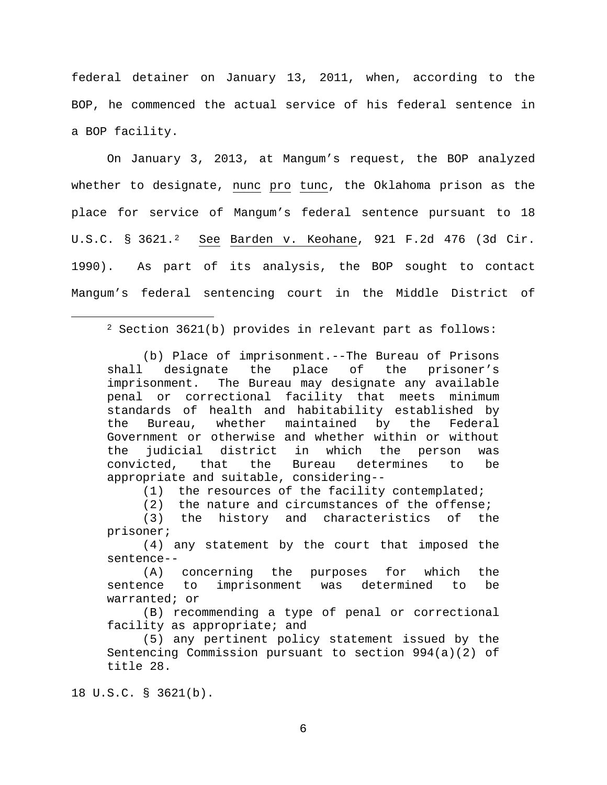federal detainer on January 13, 2011, when, according to the BOP, he commenced the actual service of his federal sentence in a BOP facility.

On January 3, 2013, at Mangum's request, the BOP analyzed whether to designate, nunc pro tunc, the Oklahoma prison as the place for service of Mangum's federal sentence pursuant to 18 U.S.C. § 3621.[2](#page-5-0) See Barden v. Keohane, 921 F.2d 476 (3d Cir. 1990). As part of its analysis, the BOP sought to contact Mangum's federal sentencing court in the Middle District of

## <span id="page-5-0"></span>2 Section 3621(b) provides in relevant part as follows:

(b) Place of imprisonment.--The Bureau of Prisons<br>designate the place of the prisoner's shall designate the place of the prisoner's imprisonment. The Bureau may designate any available penal or correctional facility that meets minimum standards of health and habitability established by<br>the Bureau, whether maintained by the Federal maintained Government or otherwise and whether within or without<br>the judicial district in which the person was the judicial district in which the person was<br>convicted, that the Bureau determines to be convicted, that appropriate and suitable, considering--

(1) the resources of the facility contemplated;

(2) the nature and circumstances of the offense;<br>(3) the history and characteristics of the the history and characteristics of prisoner;

(4) any statement by the court that imposed the sentence--

(A) concerning the purposes for which the<br>sentence to imprisonment was determined to be imprisonment was determined to warranted; or

(B) recommending a type of penal or correctional facility as appropriate; and

(5) any pertinent policy statement issued by the Sentencing Commission pursuant to section 994(a)(2) of title 28.

18 U.S.C. § 3621(b).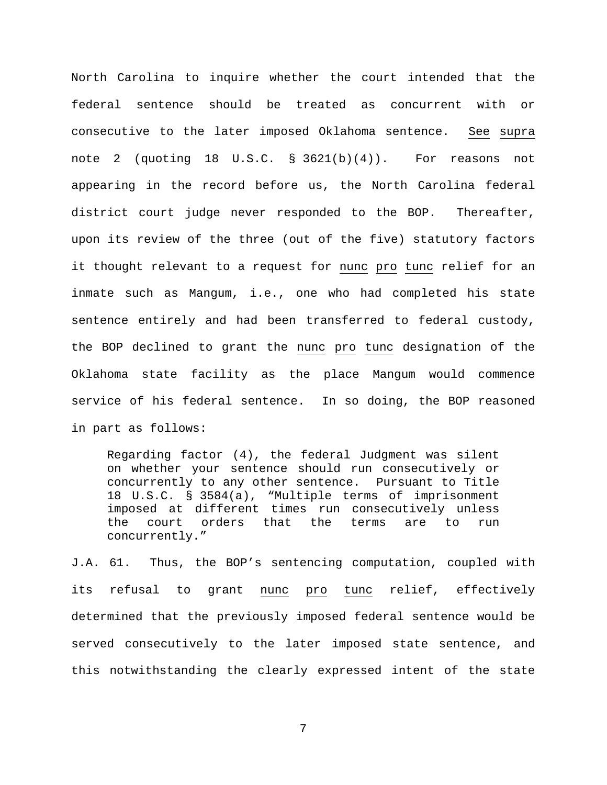North Carolina to inquire whether the court intended that the federal sentence should be treated as concurrent with or consecutive to the later imposed Oklahoma sentence. See supra note 2 (quoting 18 U.S.C. § 3621(b)(4)). For reasons not appearing in the record before us, the North Carolina federal district court judge never responded to the BOP. Thereafter, upon its review of the three (out of the five) statutory factors it thought relevant to a request for nunc pro tunc relief for an inmate such as Mangum, i.e., one who had completed his state sentence entirely and had been transferred to federal custody, the BOP declined to grant the nunc pro tunc designation of the Oklahoma state facility as the place Mangum would commence service of his federal sentence. In so doing, the BOP reasoned in part as follows:

Regarding factor (4), the federal Judgment was silent on whether your sentence should run consecutively or concurrently to any other sentence. Pursuant to Title 18 U.S.C. § 3584(a), "Multiple terms of imprisonment imposed at different times run consecutively unless<br>the court orders that the terms are to run the court orders that the terms are to run concurrently."

J.A. 61. Thus, the BOP's sentencing computation, coupled with its refusal to grant nunc pro tunc relief, effectively determined that the previously imposed federal sentence would be served consecutively to the later imposed state sentence, and this notwithstanding the clearly expressed intent of the state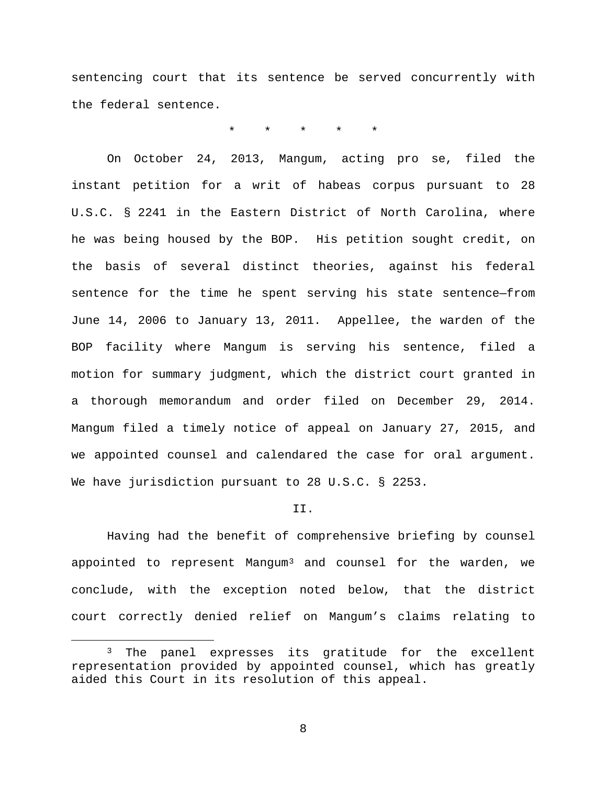sentencing court that its sentence be served concurrently with the federal sentence.

\* \* \* \* \*

On October 24, 2013, Mangum, acting pro se, filed the instant petition for a writ of habeas corpus pursuant to 28 U.S.C. § 2241 in the Eastern District of North Carolina, where he was being housed by the BOP. His petition sought credit, on the basis of several distinct theories, against his federal sentence for the time he spent serving his state sentence—from June 14, 2006 to January 13, 2011. Appellee, the warden of the BOP facility where Mangum is serving his sentence, filed a motion for summary judgment, which the district court granted in a thorough memorandum and order filed on December 29, 2014. Mangum filed a timely notice of appeal on January 27, 2015, and we appointed counsel and calendared the case for oral argument. We have jurisdiction pursuant to 28 U.S.C. § 2253.

### II.

Having had the benefit of comprehensive briefing by counsel appointed to represent Mangum<sup>[3](#page-7-0)</sup> and counsel for the warden, we conclude, with the exception noted below, that the district court correctly denied relief on Mangum's claims relating to

<span id="page-7-0"></span><sup>&</sup>lt;sup>3</sup> The panel expresses its gratitude for the excellent representation provided by appointed counsel, which has greatly aided this Court in its resolution of this appeal.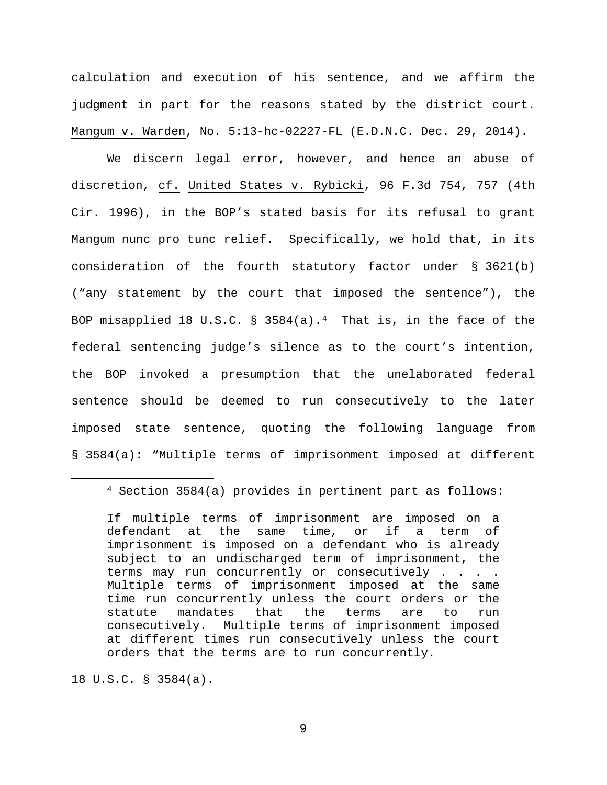calculation and execution of his sentence, and we affirm the judgment in part for the reasons stated by the district court. Mangum v. Warden, No. 5:13-hc-02227-FL (E.D.N.C. Dec. 29, 2014).

We discern legal error, however, and hence an abuse of discretion, cf. United States v. Rybicki, 96 F.3d 754, 757 (4th Cir. 1996), in the BOP's stated basis for its refusal to grant Mangum nunc pro tunc relief. Specifically, we hold that, in its consideration of the fourth statutory factor under § 3621(b) ("any statement by the court that imposed the sentence"), the BOP misapplied 18 U.S.C. § 358[4](#page-8-0)(a).<sup>4</sup> That is, in the face of the federal sentencing judge's silence as to the court's intention, the BOP invoked a presumption that the unelaborated federal sentence should be deemed to run consecutively to the later imposed state sentence, quoting the following language from § 3584(a): "Multiple terms of imprisonment imposed at different

18 U.S.C. § 3584(a).

<span id="page-8-0"></span> <sup>4</sup> Section 3584(a) provides in pertinent part as follows:

If multiple terms of imprisonment are imposed on a defendant at the same time, or if a term of imprisonment is imposed on a defendant who is already subject to an undischarged term of imprisonment, the terms may run concurrently or consecutively . . . . Multiple terms of imprisonment imposed at the same time run concurrently unless the court orders or the statute mandates that the terms are to run consecutively. Multiple terms of imprisonment imposed at different times run consecutively unless the court orders that the terms are to run concurrently.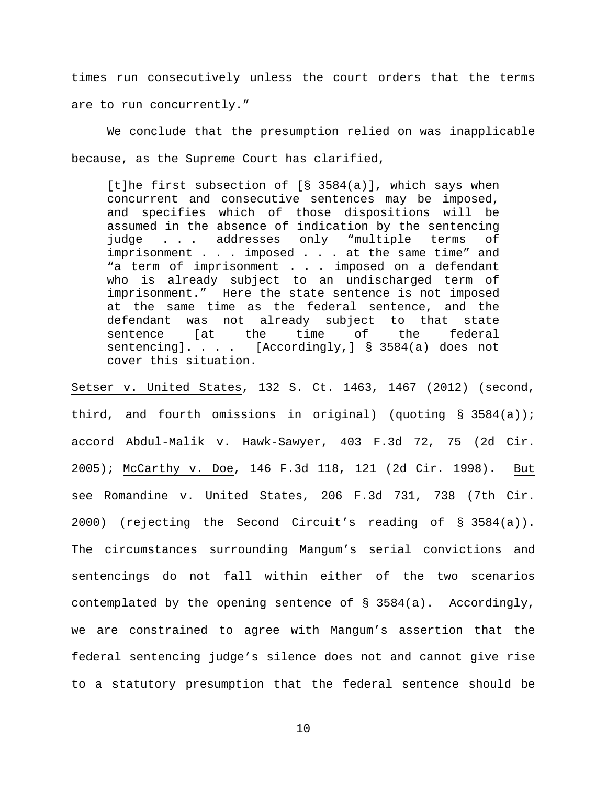times run consecutively unless the court orders that the terms are to run concurrently."

We conclude that the presumption relied on was inapplicable because, as the Supreme Court has clarified,

[t]he first subsection of [§ 3584(a)], which says when concurrent and consecutive sentences may be imposed, and specifies which of those dispositions will be assumed in the absence of indication by the sentencing<br>judge . . . addresses only "multiple terms of only "multiple terms of imprisonment . . . imposed . . . at the same time" and "a term of imprisonment . . . imposed on a defendant who is already subject to an undischarged term of imprisonment." Here the state sentence is not imposed at the same time as the federal sentence, and the<br>defendant was not already subject to that state defendant was not already subject to that state<br>sentence [at the time of the federal sentence sentencing]. . . . [Accordingly,] § 3584(a) does not cover this situation.

Setser v. United States, 132 S. Ct. 1463, 1467 (2012) (second, third, and fourth omissions in original) (quoting § 3584(a)); accord Abdul-Malik v. Hawk-Sawyer, 403 F.3d 72, 75 (2d Cir. 2005); McCarthy v. Doe, 146 F.3d 118, 121 (2d Cir. 1998). But see Romandine v. United States, 206 F.3d 731, 738 (7th Cir. 2000) (rejecting the Second Circuit's reading of § 3584(a)). The circumstances surrounding Mangum's serial convictions and sentencings do not fall within either of the two scenarios contemplated by the opening sentence of § 3584(a). Accordingly, we are constrained to agree with Mangum's assertion that the federal sentencing judge's silence does not and cannot give rise to a statutory presumption that the federal sentence should be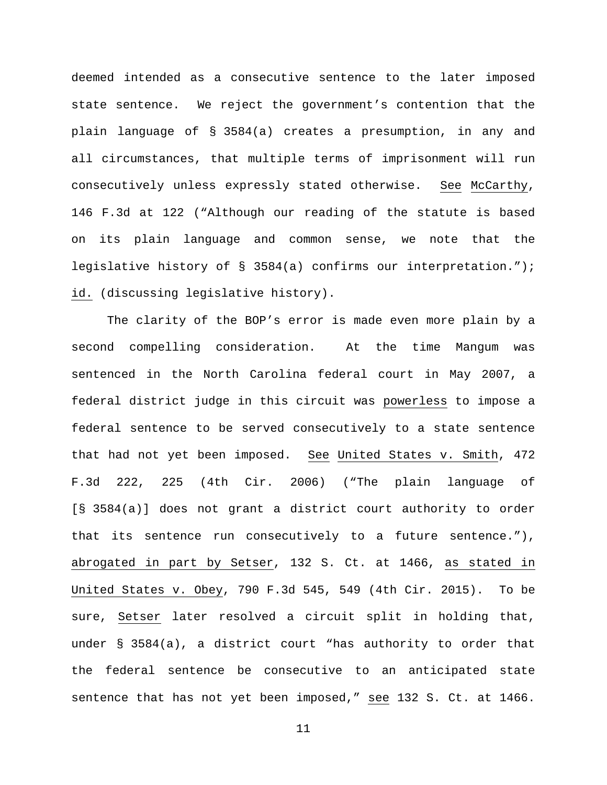deemed intended as a consecutive sentence to the later imposed state sentence. We reject the government's contention that the plain language of § 3584(a) creates a presumption, in any and all circumstances, that multiple terms of imprisonment will run consecutively unless expressly stated otherwise. See McCarthy, 146 F.3d at 122 ("Although our reading of the statute is based on its plain language and common sense, we note that the legislative history of § 3584(a) confirms our interpretation."); id. (discussing legislative history).

The clarity of the BOP's error is made even more plain by a second compelling consideration. At the time Mangum was sentenced in the North Carolina federal court in May 2007, a federal district judge in this circuit was powerless to impose a federal sentence to be served consecutively to a state sentence that had not yet been imposed. See United States v. Smith, 472 F.3d 222, 225 (4th Cir. 2006) ("The plain language of [§ 3584(a)] does not grant a district court authority to order that its sentence run consecutively to a future sentence."), abrogated in part by Setser, 132 S. Ct. at 1466, as stated in United States v. Obey, 790 F.3d 545, 549 (4th Cir. 2015). To be sure, Setser later resolved a circuit split in holding that, under § 3584(a), a district court "has authority to order that the federal sentence be consecutive to an anticipated state sentence that has not yet been imposed," see 132 S. Ct. at 1466.